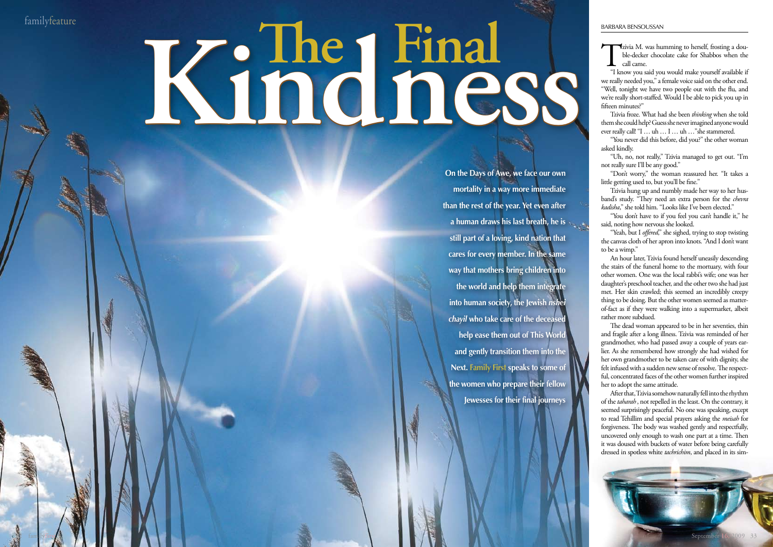32 familyfirst

familyfeature

**On the Days of Awe, we face our own mortality in a way more immediate than the rest of the year. Yet even after a human draws his last breath, he is still part of a loving, kind nation that cares for every member. In the same way that mothers bring children into the world and help them integrate into human society, the Jewish** *nshei chayil* **who take care of the deceased help ease them out of This World and gently transition them into the Next. Family First speaks to some of the women who prepare their fellow Jewesses for their final journeys**

# **The Final Kindness**

Tzivia M. was humming to herself, frosting a dou-"I know you said you would make yourself available if ble-decker chocolate cake for Shabbos when the call came.

we really needed you," a female voice said on the other end. "Well, tonight we have two people out with the flu, and we're really short-staffed. Would I be able to pick you up in fifteen minutes?"

Tzivia froze. What had she been *thinking* when she told them she could help? Guess she never imagined anyone would ever really call! "I … uh … I … uh …"she stammered.

"You never did this before, did you?" the other woman asked kindly.

"Uh, no, not really," Tzivia managed to get out. "I'm not really sure I'll be any good."

"Don't worry," the woman reassured her. "It takes a little getting used to, but you'll be fine."

Tzivia hung up and numbly made her way to her husband's study. "They need an extra person for the *chevra kadisha*," she told him. "Looks like I've been elected."

"You don't have to if you feel you can't handle it," he said, noting how nervous she looked.

"Yeah, but I *offered*," she sighed, trying to stop twisting the canvas cloth of her apron into knots. "And I don't want to be a wimp."

An hour later, Tzivia found herself uneasily descending the stairs of the funeral home to the mortuary, with four other women. One was the local rabbi's wife; one was her daughter's preschool teacher, and the other two she had just met. Her skin crawled; this seemed an incredibly creepy thing to be doing. But the other women seemed as matterof-fact as if they were walking into a supermarket, albeit rather more subdued.

The dead woman appeared to be in her seventies, thin and fragile after a long illness. Tzivia was reminded of her grandmother, who had passed away a couple of years earlier. As she remembered how strongly she had wished for her own grandmother to be taken care of with dignity, she felt infused with a sudden new sense of resolve. The respectful, concentrated faces of the other women further inspired her to adopt the same attitude.

After that, Tzivia somehow naturally fell into the rhythm of the *taharah*, not repelled in the least. On the contrary, it seemed surprisingly peaceful. No one was speaking, except to read Tehillim and special prayers asking the *meisah* for forgiveness. The body was washed gently and respectfully, uncovered only enough to wash one part at a time. Then it was doused with buckets of water before being carefully dressed in spotless white *tachrichim*, and placed in its sim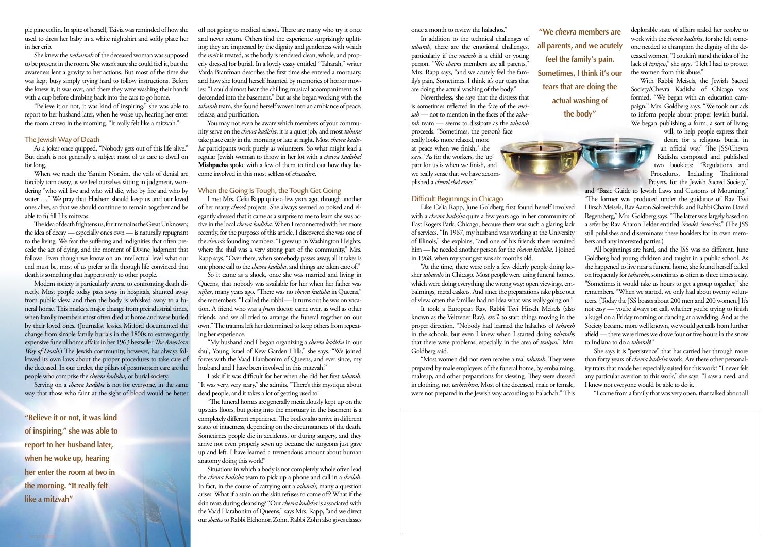ple pine coffin. in spite of herself, Tzivia was reminded of how she used to dress her baby in a white nightshirt and softly place her in her crib.

She knew the *neshamah* of the deceased woman was supposed to be present in the room. She wasn't sure she could feel it, but the awareness lent a gravity to her actions. But most of the time she was kept busy simply trying hard to follow instructions. Before she knew it, it was over, and there they were washing their hands with a cup before climbing back into the cars to go home.

"Believe it or not, it was kind of inspiring," she was able to report to her husband later, when he woke up, hearing her enter the room at two in the morning. "It really felt like a mitzvah."

### The Jewish Way of Death

As a joker once quipped, "Nobody gets out of this life alive." But death is not generally a subject most of us care to dwell on for long.

When we reach the Yamim Noraim, the veils of denial are forcibly torn away, as we feel ourselves sitting in judgment, wondering "who will live and who will die, who by fire and who by water …" We pray that Hashem should keep us and our loved ones alive, so that we should continue to remain together and be able to fulfill His mitzvos.

The idea of death frightens us, for it remains the Great Unknown; the idea of decay — especially one's own — is naturally repugnant to the living. We fear the suffering and indignities that often precede the act of dying, and the moment of Divine Judgment that follows. Even though we know on an intellectual level what our end must be, most of us prefer to flit through life convinced that death is something that happens only to other people.

You may not even be aware which members of your community serve on the *chevra kadisha*; it is a quiet job, and most *taharas* take place early in the morning or late at night. Most *chevra kadisha* participants work purely as volunteers. So what might lead a regular Jewish woman to throw in her lot with a *chevra kadisha?*  **Mishpacha** spoke with a few of them to find out how they become involved in this most selfless of *chasadim*.

Modern society is particularly averse to confronting death directly. Most people today pass away in hospitals, shunted away from public view, and then the body is whisked away to a funeral home. This marks a major change from preindustrial times, when family members most often died at home and were buried by their loved ones. (Journalist Jessica Mitford documented the change from simple family burials in the 1800s to extravagantly expensive funeral home affairs in her 1963 bestseller *The American Way of Death*.) The Jewish community, however, has always followed its own laws about the proper procedures to take care of the deceased. In our circles, the pillars of postmortem care are the people who comprise the *chevra kadisha,* or burial society*.*

Serving on a *chevra kadisha* is not for everyone, in the same way that those who faint at the sight of blood would be better

off not going to medical school. There are many who try it once and never return. Others find the experience surprisingly uplifting; they are impressed by the dignity and gentleness with which the *meis* is treated, as the body is rendered clean, whole, and properly dressed for burial. In a lovely essay entitled "Taharah," writer Varda Branfman describes the first time she entered a mortuary, and how she found herself haunted by memories of horror movies: "I could almost hear the chilling musical accompaniment as I descended into the basement." But as she began working with the *taharah* team, she found herself woven into an ambiance of peace, release, and purification.

### When the Going Is Tough, the Tough Get Going

I met Mrs. Celia Rapp quite a few years ago, through another of her many *chesed* projects. She always seemed so poised and elegantly dressed that it came as a surprise to me to learn she was active in the local *chevra kadisha*. When I reconnected with her more recently, for the purposes of this article, I discovered she was one of the *chevra*'s founding members. "I grew up in Washington Heights, where the shul was a very strong part of the community," Mrs. Rapp says. "Over there, when somebody passes away, all it takes is one phone call to the *chevra kadisha*, and things are taken care of."

So it came as a shock, once she was married and living in Queens, that nobody was available for her when her father was *niftar*, many years ago. "There was no *chevra kadisha* in Queens," she remembers. "I called the rabbi — it turns out he was on vacation. A friend who was a *frum* doctor came over, as well as other friends, and we all tried to arrange the funeral together on our own." The trauma left her determined to keep others from repeating her experience.

"My husband and I began organizing a *chevra kadisha* in our shul, Young Israel of Kew Garden Hills," she says. "We joined forces with the Vaad Harabonim of Queens, and ever since, my husband and I have been involved in this mitzvah."

I ask if it was difficult for her when she did her first *taharah*. "It was very, very scary," she admits. "There's this mystique about dead people, and it takes a lot of getting used to!

"The funeral homes are generally meticulously kept up on the upstairs floors, but going into the mortuary in the basement is a completely different experience. The bodies also arrive in different states of intactness, depending on the circumstances of the death. Sometimes people die in accidents, or during surgery, and they arrive not even properly sewn up because the surgeons just gave up and left. I have learned a tremendous amount about human anatomy doing this work!"

Situations in which a body is not completely whole often lead the *chevra kadisha* team to pick up a phone and call in a *sheilah*. In fact, in the course of carrying out a *taharah*, many a question arises: What if a stain on the skin refuses to come off? What if the skin tears during cleansing? "Our *chevra kadisha* is associated with the Vaad Harabonim of Queens," says Mrs. Rapp, "and we direct our *sheilos* to Rabbi Elchonon Zohn. Rabbi Zohn also gives classes

once a month to review the halachos."

In addition to the technical challenges of *taharah*, there are the emotional challenges, particularly if the *meisah* is a child or young person. "We *chevra* members are all parents," Mrs. Rapp says, "and we acutely feel the family's pain. Sometimes, I think it's our tears that are doing the actual washing of the body."

Nevertheless, she says that the distress that is sometimes reflected in the face of the *meisah* — not to mention in the faces of the *taharah* team — seems to dissipate as the *taharah* proceeds. "Sometimes, the person's face

really looks more relaxed, more at peace when we finish," she says. "As for the workers, the 'up' part for us is when we finish, and we really sense that we have accomplished a *chesed shel emes*."

## Difficult Beginnings in Chicago

Like Celia Rapp, June Goldberg first found herself involved with a *chevra kadisha* quite a few years ago in her community of East Rogers Park, Chicago, because there was such a glaring lack of services. "In 1967, my husband was working at the University of Illinois," she explains, "and one of his friends there recruited him — he needed another person for the *chevra kadisha*. I joined in 1968, when my youngest was six months old.

"At the time, there were only a few elderly people doing kosher *taharahs* in Chicago. Most people were using funeral homes, which were doing everything the wrong way: open viewings, embalmings, metal caskets. And since the preparations take place out of view, often the families had no idea what was really going on."

It took a European Rav, Rabbi Tzvi Hirsch Meisels (also known as the Veitzener Rav), *ztz"l*, to start things moving in the proper direction. "Nobody had learned the halachos of *taharah* in the schools, but even I knew when I started doing *taharah*s that there were problems, especially in the area of *tzniyus*," Mrs. Goldberg said.

"Most women did not even receive a real *taharah*. They were prepared by male employees of the funeral home, by embalming, makeup, and other preparations for viewing. They were dressed in clothing, not *tachrichim*. Most of the deceased, male or female, were not prepared in the Jewish way according to halachah." This



deplorable state of affairs sealed her resolve to work with the *chevra kadisha*, for she felt someone needed to champion the dignity of the deceased women. "I couldn't stand the idea of the lack of *tzniyus*," she says. "I felt I had to protect the women from this abuse."

With Rabbi Meisels, the Jewish Sacred Society/Chevra Kadisha of Chicago was formed. "We began with an education campaign," Mrs. Goldberg says. "We took out ads to inform people about proper Jewish burial. We began publishing a form, a sort of living

> will, to help people express their desire for a religious burial in an official way." The JSS/Chevra Kadisha composed and published two booklets: "Regulations and Procedures, Including Traditional Prayers, for the Jewish Sacred Society,"

and "Basic Guide to Jewish Laws and Customs of Mourning." "The former was produced under the guidance of Rav Tzvi Hirsch Meisels, Rav Aaron Soloveitchik, and Rabbi Chaim David Regensberg," Mrs. Goldberg says. "The latter was largely based on a sefer by Rav Aharon Felder entitled *Yesodei Smochos*." (The JSS still publishes and disseminates these booklets for its own members and any interested parties.)

All beginnings are hard, and the JSS was no different. June Goldberg had young children and taught in a public school. As she happened to live near a funeral home, she found herself called on frequently for *taharah*s, sometimes as often as three times a day. "Sometimes it would take us hours to get a group together," she remembers. "When we started, we only had about twenty volunteers. [Today the JSS boasts about 200 men and 200 women.] It's not easy — you're always on call, whether you're trying to finish a kugel on a Friday morning or dancing at a wedding. And as the Society became more well known, we would get calls from further afield — there were times we drove four or five hours in the snow to Indiana to do a *taharah*!"

She says it is "persistence" that has carried her through more than forty years of *chevra kadisha* work. Are there other personality traits that made her especially suited for this work? "I never felt any particular aversion to this work," she says. "I saw a need, and I knew not everyone would be able to do it.

"I come from a family that was very open, that talked about all

**"We** *chevra* **members are all parents, and we acutely feel the family's pain. Sometimes, I think it's our tears that are doing the actual washing of the body"**

**"Believe it or not, it was kind of inspiring," she was able to report to her husband later, when he woke up, hearing her enter the room at two in the morning. "It really felt like a mitzvah"**